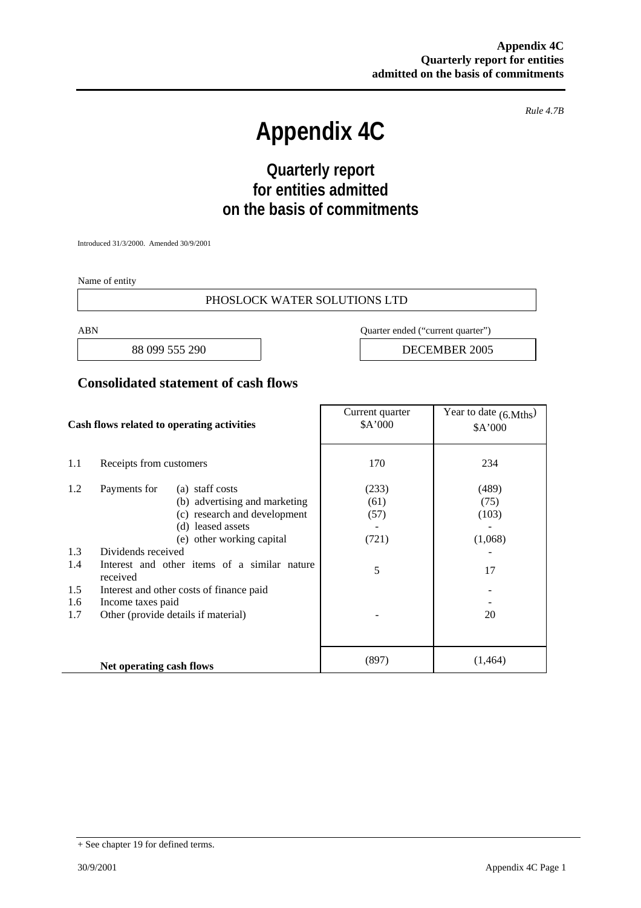*Rule 4.7B* 

# **Appendix 4C**

## **Quarterly report for entities admitted on the basis of commitments**

Introduced 31/3/2000. Amended 30/9/2001

Name of entity

#### PHOSLOCK WATER SOLUTIONS LTD

ABN Quarter ended ("current quarter")

88 099 555 290 **DECEMBER 2005** 

#### **Consolidated statement of cash flows**

| Cash flows related to operating activities |                                                          | Current quarter<br>\$A'000          | Year to date $(6. Mths)$<br>\$A'000 |         |
|--------------------------------------------|----------------------------------------------------------|-------------------------------------|-------------------------------------|---------|
| 1.1                                        | Receipts from customers                                  |                                     | 170                                 | 234     |
| 1.2                                        | Payments for                                             | (a) staff costs                     | (233)                               | (489)   |
|                                            |                                                          | (b) advertising and marketing       | (61)                                | (75)    |
|                                            |                                                          | (c) research and development        | (57)                                | (103)   |
|                                            |                                                          | (d) leased assets                   |                                     |         |
|                                            |                                                          | (e) other working capital           | (721)                               | (1,068) |
| 1.3                                        | Dividends received                                       |                                     |                                     |         |
| 1.4                                        | Interest and other items of a similar nature<br>received |                                     | 5                                   | 17      |
| 1.5                                        | Interest and other costs of finance paid                 |                                     |                                     |         |
| 1.6                                        | Income taxes paid                                        |                                     |                                     |         |
| 1.7                                        |                                                          | Other (provide details if material) |                                     | 20      |
|                                            |                                                          |                                     |                                     |         |
|                                            | Net operating cash flows                                 |                                     | (897)                               | (1,464) |

<sup>+</sup> See chapter 19 for defined terms.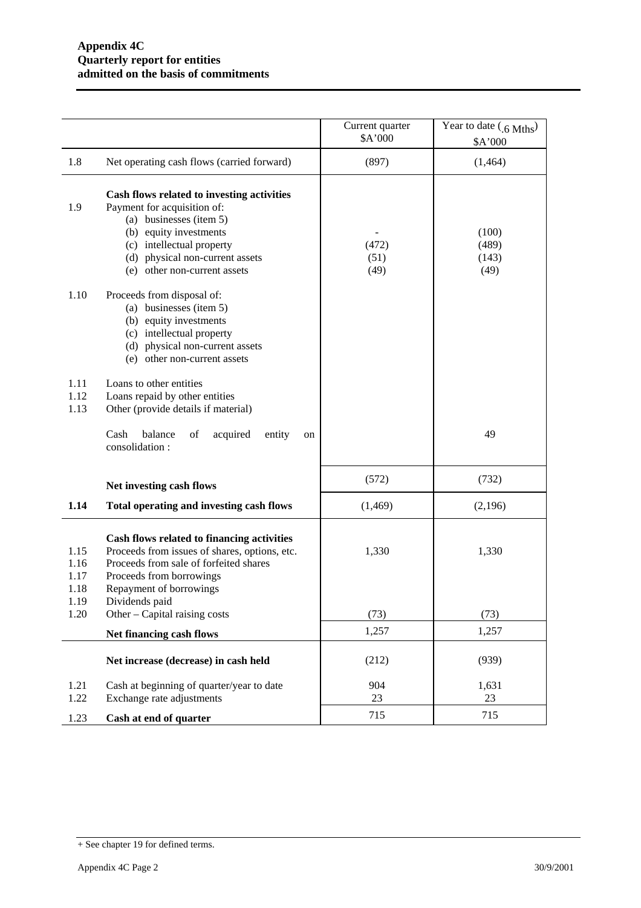|                              |                                                                                                                                                                                                                                | Current quarter<br>\$A'000 | Year to date (.6 Mths)<br>\$A'000 |
|------------------------------|--------------------------------------------------------------------------------------------------------------------------------------------------------------------------------------------------------------------------------|----------------------------|-----------------------------------|
| 1.8                          | Net operating cash flows (carried forward)                                                                                                                                                                                     | (897)                      | (1,464)                           |
| 1.9                          | Cash flows related to investing activities<br>Payment for acquisition of:<br>(a) businesses (item 5)<br>(b) equity investments<br>(c) intellectual property<br>(d) physical non-current assets<br>(e) other non-current assets | (472)<br>(51)<br>(49)      | (100)<br>(489)<br>(143)<br>(49)   |
| 1.10                         | Proceeds from disposal of:<br>(a) businesses (item 5)<br>(b) equity investments<br>(c) intellectual property<br>(d) physical non-current assets<br>(e) other non-current assets                                                |                            |                                   |
| 1.11<br>1.12<br>1.13         | Loans to other entities<br>Loans repaid by other entities<br>Other (provide details if material)                                                                                                                               |                            |                                   |
|                              | balance<br>Cash<br>acquired<br>entity<br>of<br>on<br>consolidation:                                                                                                                                                            |                            | 49                                |
|                              | Net investing cash flows                                                                                                                                                                                                       | (572)                      | (732)                             |
| 1.14                         | Total operating and investing cash flows                                                                                                                                                                                       | (1, 469)                   | (2,196)                           |
| 1.15<br>1.16<br>1.17<br>1.18 | Cash flows related to financing activities<br>Proceeds from issues of shares, options, etc.<br>Proceeds from sale of forfeited shares<br>Proceeds from borrowings<br>Repayment of borrowings                                   | 1,330                      | 1,330                             |
| 1.19<br>1.20                 | Dividends paid<br>Other – Capital raising costs                                                                                                                                                                                | (73)                       | (73)                              |
|                              | Net financing cash flows                                                                                                                                                                                                       | 1,257                      | 1,257                             |
|                              | Net increase (decrease) in cash held                                                                                                                                                                                           | (212)                      | (939)                             |
| 1.21                         | Cash at beginning of quarter/year to date                                                                                                                                                                                      | 904<br>23                  | 1,631<br>23                       |
| 1.22<br>1.23                 | Exchange rate adjustments<br>Cash at end of quarter                                                                                                                                                                            | 715                        | 715                               |

<sup>+</sup> See chapter 19 for defined terms.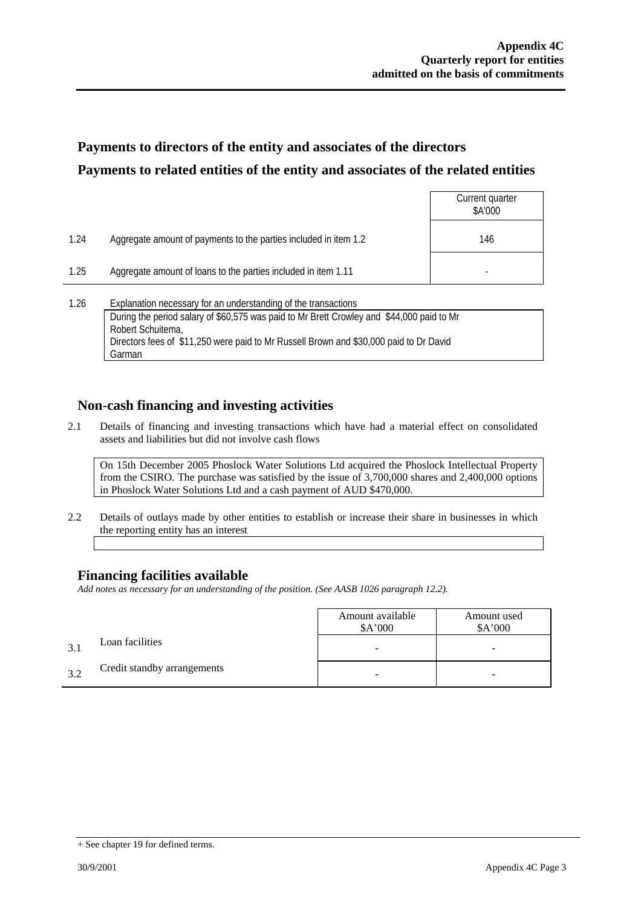### **Payments to directors of the entity and associates of the directors Payments to related entities of the entity and associates of the related entities**

|      |                                                                                                                                                                                                                                                                            | Current quarter<br>\$A'000 |  |
|------|----------------------------------------------------------------------------------------------------------------------------------------------------------------------------------------------------------------------------------------------------------------------------|----------------------------|--|
| 1.24 | Aggregate amount of payments to the parties included in item 1.2                                                                                                                                                                                                           | 146                        |  |
| 1.25 | Aggregate amount of loans to the parties included in item 1.11                                                                                                                                                                                                             |                            |  |
| 1.26 | Explanation necessary for an understanding of the transactions<br>During the period salary of \$60,575 was paid to Mr Brett Crowley and \$44,000 paid to Mr<br>Robert Schuitema,<br>Directors fees of \$11,250 were paid to Mr Russell Brown and \$30,000 paid to Dr David |                            |  |

### **Non-cash financing and investing activities**

2.1 Details of financing and investing transactions which have had a material effect on consolidated assets and liabilities but did not involve cash flows

On 15th December 2005 Phoslock Water Solutions Ltd acquired the Phoslock Intellectual Property from the CSIRO. The purchase was satisfied by the issue of 3,700,000 shares and 2,400,000 options in Phoslock Water Solutions Ltd and a cash payment of AUD \$470,000.

2.2 Details of outlays made by other entities to establish or increase their share in businesses in which the reporting entity has an interest

### **Financing facilities available**

Garman

*Add notes as necessary for an understanding of the position. (See AASB 1026 paragraph 12.2).* 

|     |                             | Amount available<br>\$A'000 | Amount used<br>\$A'000 |
|-----|-----------------------------|-----------------------------|------------------------|
| 3.1 | Loan facilities             | -                           | -                      |
| 3.2 | Credit standby arrangements |                             |                        |

<sup>+</sup> See chapter 19 for defined terms.